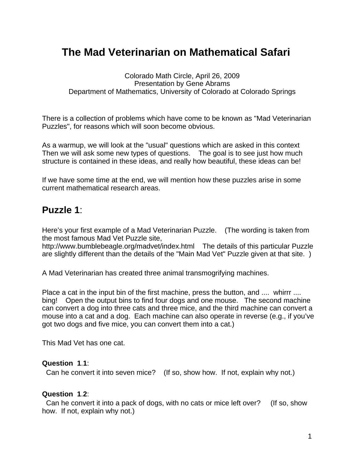# **The Mad Veterinarian on Mathematical Safari**

Colorado Math Circle, April 26, 2009 Presentation by Gene Abrams Department of Mathematics, University of Colorado at Colorado Springs

There is a collection of problems which have come to be known as "Mad Veterinarian Puzzles", for reasons which will soon become obvious.

As a warmup, we will look at the "usual" questions which are asked in this context Then we will ask some new types of questions. The goal is to see just how much structure is contained in these ideas, and really how beautiful, these ideas can be!

If we have some time at the end, we will mention how these puzzles arise in some current mathematical research areas.

# **Puzzle 1**:

Here's your first example of a Mad Veterinarian Puzzle. (The wording is taken from the most famous Mad Vet Puzzle site,

http://www.bumblebeagle.org/madvet/index.html The details of this particular Puzzle are slightly different than the details of the "Main Mad Vet" Puzzle given at that site. )

A Mad Veterinarian has created three animal transmogrifying machines.

Place a cat in the input bin of the first machine, press the button, and .... whirrr .... bing! Open the output bins to find four dogs and one mouse. The second machine can convert a dog into three cats and three mice, and the third machine can convert a mouse into a cat and a dog. Each machine can also operate in reverse (e.g., if you've got two dogs and five mice, you can convert them into a cat.)

This Mad Vet has one cat.

#### **Question 1**.**1**:

Can he convert it into seven mice? (If so, show how. If not, explain why not.)

#### **Question 1**.**2**:

Can he convert it into a pack of dogs, with no cats or mice left over? (If so, show how. If not, explain why not.)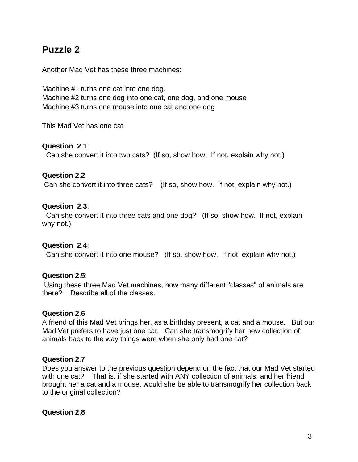# **Puzzle 2**:

Another Mad Vet has these three machines:

Machine #1 turns one cat into one dog. Machine #2 turns one dog into one cat, one dog, and one mouse Machine #3 turns one mouse into one cat and one dog

This Mad Vet has one cat.

#### **Question 2**.**1**:

Can she convert it into two cats? (If so, show how. If not, explain why not.)

#### **Question 2**.**2**

Can she convert it into three cats? (If so, show how. If not, explain why not.)

#### **Question 2**.**3**:

Can she convert it into three cats and one dog? (If so, show how. If not, explain why not.)

### **Question 2**.**4**:

Can she convert it into one mouse? (If so, show how. If not, explain why not.)

### **Question 2**.**5**:

Using these three Mad Vet machines, how many different "classes" of animals are there? Describe all of the classes.

#### **Question 2**.**6**

A friend of this Mad Vet brings her, as a birthday present, a cat and a mouse. But our Mad Vet prefers to have just one cat. Can she transmogrify her new collection of animals back to the way things were when she only had one cat?

### **Question 2**.**7**

Does you answer to the previous question depend on the fact that our Mad Vet started with one cat? That is, if she started with ANY collection of animals, and her friend brought her a cat and a mouse, would she be able to transmogrify her collection back to the original collection?

### **Question 2**.**8**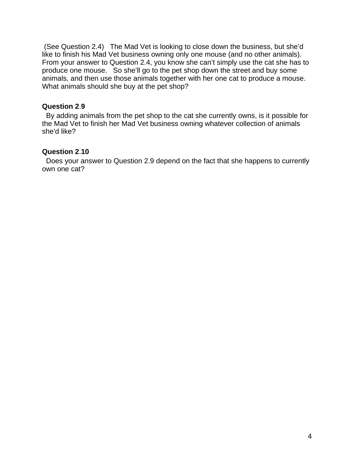(See Question 2.4) The Mad Vet is looking to close down the business, but she'd like to finish his Mad Vet business owning only one mouse (and no other animals). From your answer to Question 2.4, you know she can't simply use the cat she has to produce one mouse. So she'll go to the pet shop down the street and buy some animals, and then use those animals together with her one cat to produce a mouse. What animals should she buy at the pet shop?

## **Question 2**.**9**

By adding animals from the pet shop to the cat she currently owns, is it possible for the Mad Vet to finish her Mad Vet business owning whatever collection of animals she'd like?

# **Question 2**.**10**

Does your answer to Question 2.9 depend on the fact that she happens to currently own one cat?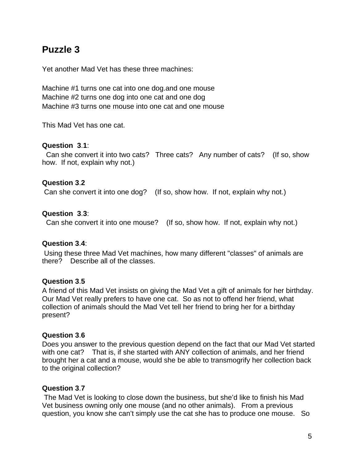# **Puzzle 3**

Yet another Mad Vet has these three machines:

Machine #1 turns one cat into one dog.and one mouse Machine #2 turns one dog into one cat and one dog Machine #3 turns one mouse into one cat and one mouse

This Mad Vet has one cat.

#### **Question 3**.**1**:

Can she convert it into two cats? Three cats? Any number of cats? (If so, show how. If not, explain why not.)

### **Question 3**.**2**

Can she convert it into one dog? (If so, show how. If not, explain why not.)

### **Question 3**.**3**:

Can she convert it into one mouse? (If so, show how. If not, explain why not.)

### **Question 3**.**4**:

Using these three Mad Vet machines, how many different "classes" of animals are there? Describe all of the classes.

### **Question 3**.**5**

A friend of this Mad Vet insists on giving the Mad Vet a gift of animals for her birthday. Our Mad Vet really prefers to have one cat. So as not to offend her friend, what collection of animals should the Mad Vet tell her friend to bring her for a birthday present?

### **Question 3**.**6**

Does you answer to the previous question depend on the fact that our Mad Vet started with one cat? That is, if she started with ANY collection of animals, and her friend brought her a cat and a mouse, would she be able to transmogrify her collection back to the original collection?

### **Question 3**.**7**

The Mad Vet is looking to close down the business, but she'd like to finish his Mad Vet business owning only one mouse (and no other animals). From a previous question, you know she can't simply use the cat she has to produce one mouse. So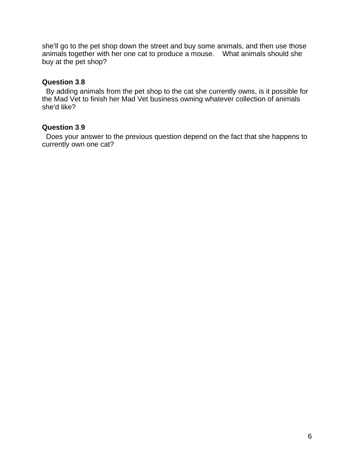she'll go to the pet shop down the street and buy some animals, and then use those animals together with her one cat to produce a mouse. What animals should she buy at the pet shop?

## **Question 3**.**8**

By adding animals from the pet shop to the cat she currently owns, is it possible for the Mad Vet to finish her Mad Vet business owning whatever collection of animals she'd like?

## **Question 3**.**9**

Does your answer to the previous question depend on the fact that she happens to currently own one cat?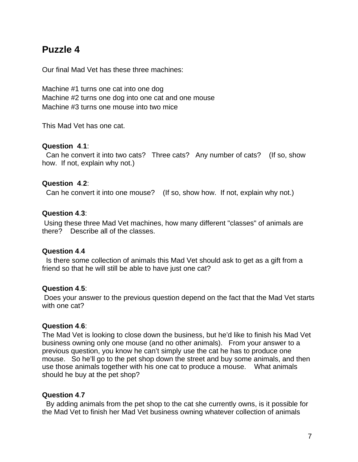# **Puzzle 4**

Our final Mad Vet has these three machines:

Machine #1 turns one cat into one dog Machine #2 turns one dog into one cat and one mouse Machine #3 turns one mouse into two mice

This Mad Vet has one cat.

#### **Question 4**.**1**:

Can he convert it into two cats? Three cats? Any number of cats? (If so, show how. If not, explain why not.)

### **Question 4**.**2**:

Can he convert it into one mouse? (If so, show how. If not, explain why not.)

### **Question 4**.**3**:

Using these three Mad Vet machines, how many different "classes" of animals are there? Describe all of the classes.

### **Question 4**.**4**

Is there some collection of animals this Mad Vet should ask to get as a gift from a friend so that he will still be able to have just one cat?

### **Question 4**.**5**:

Does your answer to the previous question depend on the fact that the Mad Vet starts with one cat?

### **Question 4**.**6**:

The Mad Vet is looking to close down the business, but he'd like to finish his Mad Vet business owning only one mouse (and no other animals). From your answer to a previous question, you know he can't simply use the cat he has to produce one mouse. So he'll go to the pet shop down the street and buy some animals, and then use those animals together with his one cat to produce a mouse. What animals should he buy at the pet shop?

### **Question 4**.**7**

By adding animals from the pet shop to the cat she currently owns, is it possible for the Mad Vet to finish her Mad Vet business owning whatever collection of animals